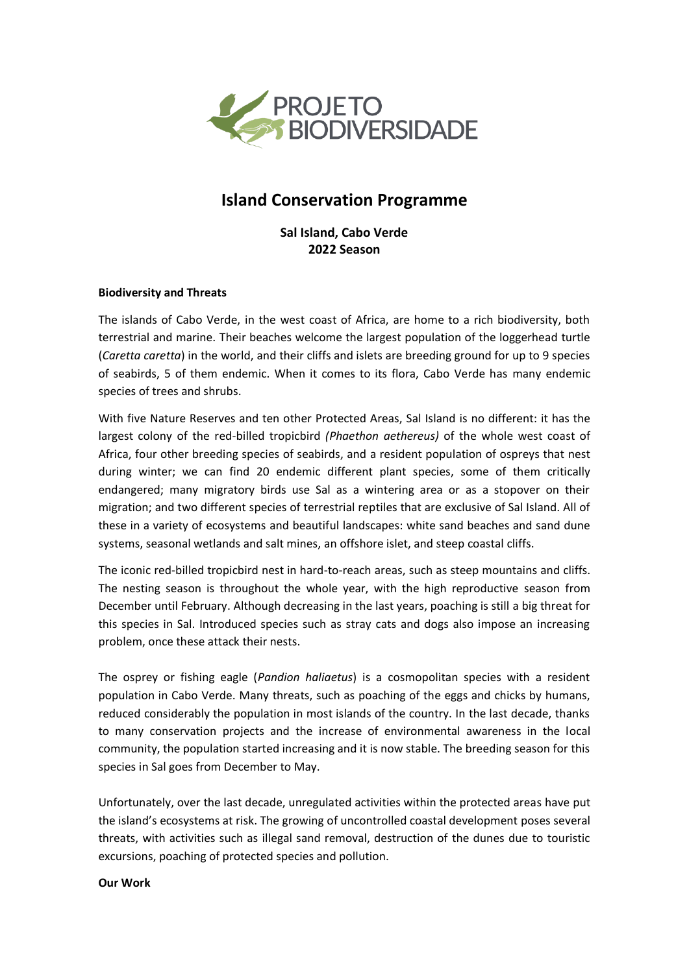

# **Island Conservation Programme**

**Sal Island, Cabo Verde 2022 Season**

### **Biodiversity and Threats**

The islands of Cabo Verde, in the west coast of Africa, are home to a rich biodiversity, both terrestrial and marine. Their beaches welcome the largest population of the loggerhead turtle (*Caretta caretta*) in the world, and their cliffs and islets are breeding ground for up to 9 species of seabirds, 5 of them endemic. When it comes to its flora, Cabo Verde has many endemic species of trees and shrubs.

With five Nature Reserves and ten other Protected Areas, Sal Island is no different: it has the largest colony of the red-billed tropicbird *(Phaethon aethereus)* of the whole west coast of Africa, four other breeding species of seabirds, and a resident population of ospreys that nest during winter; we can find 20 endemic different plant species, some of them critically endangered; many migratory birds use Sal as a wintering area or as a stopover on their migration; and two different species of terrestrial reptiles that are exclusive of Sal Island. All of these in a variety of ecosystems and beautiful landscapes: white sand beaches and sand dune systems, seasonal wetlands and salt mines, an offshore islet, and steep coastal cliffs.

The iconic red-billed tropicbird nest in hard-to-reach areas, such as steep mountains and cliffs. The nesting season is throughout the whole year, with the high reproductive season from December until February. Although decreasing in the last years, poaching is still a big threat for this species in Sal. Introduced species such as stray cats and dogs also impose an increasing problem, once these attack their nests.

The osprey or fishing eagle (*Pandion haliaetus*) is a cosmopolitan species with a resident population in Cabo Verde. Many threats, such as poaching of the eggs and chicks by humans, reduced considerably the population in most islands of the country. In the last decade, thanks to many conservation projects and the increase of environmental awareness in the local community, the population started increasing and it is now stable. The breeding season for this species in Sal goes from December to May.

Unfortunately, over the last decade, unregulated activities within the protected areas have put the island's ecosystems at risk. The growing of uncontrolled coastal development poses several threats, with activities such as illegal sand removal, destruction of the dunes due to touristic excursions, poaching of protected species and pollution.

#### **Our Work**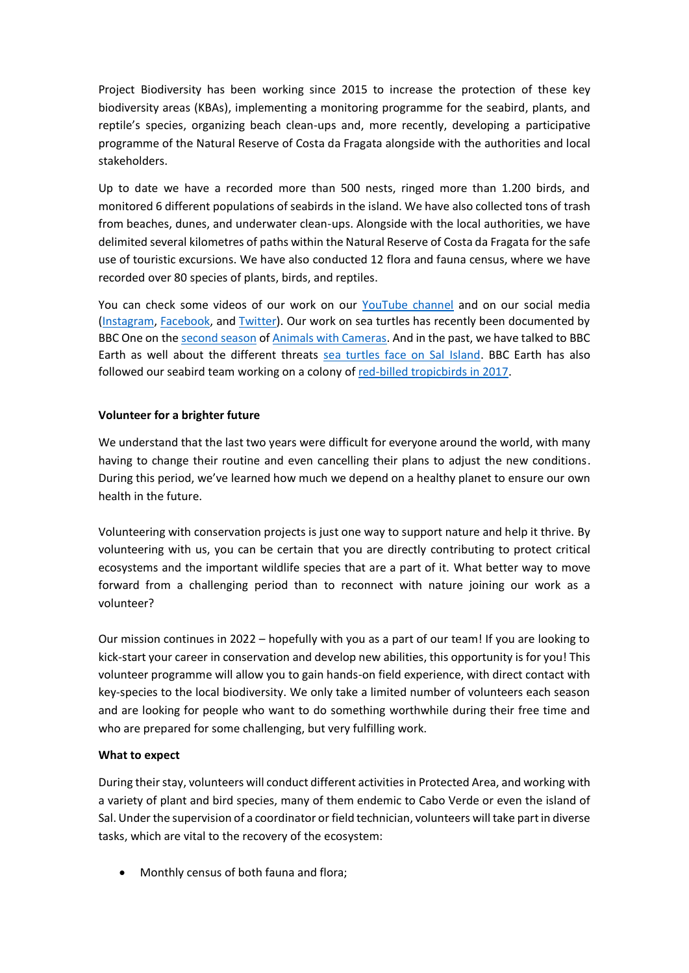Project Biodiversity has been working since 2015 to increase the protection of these key biodiversity areas (KBAs), implementing a monitoring programme for the seabird, plants, and reptile's species, organizing beach clean-ups and, more recently, developing a participative programme of the Natural Reserve of Costa da Fragata alongside with the authorities and local stakeholders.

Up to date we have a recorded more than 500 nests, ringed more than 1.200 birds, and monitored 6 different populations of seabirds in the island. We have also collected tons of trash from beaches, dunes, and underwater clean-ups. Alongside with the local authorities, we have delimited several kilometres of paths within the Natural Reserve of Costa da Fragata for the safe use of touristic excursions. We have also conducted 12 flora and fauna census, where we have recorded over 80 species of plants, birds, and reptiles.

You can check some videos of our work on our [YouTube channel](https://www.youtube.com/channel/UCJcALhDqghBeUyfA5eJgZDQ) and on our social media [\(Instagram,](https://www.youtube.com/channel/UCJcALhDqghBeUyfA5eJgZDQ) [Facebook,](https://www.facebook.com/projectbiodiversitycv) and [Twitter\)](https://twitter.com/projetobiosal). Our work on sea turtles has recently been documented by BBC One on the [second season](https://www.bbc.co.uk/iplayer/episode/m000zhrd/animals-with-cameras-series-2-episode-1) o[f Animals with Cameras.](https://www.youtube.com/watch?v=uJdoZ4KOGnI) And in the past, we have talked to BBC Earth as well about the different threats [sea turtles face on Sal Island.](https://www.facebook.com/watch/?v=1785543764812505) BBC Earth has also followed our seabird team working on a colony of [red-billed tropicbirds in 2017.](https://www.facebook.com/watch/?v=347048989363751)

## **Volunteer for a brighter future**

We understand that the last two years were difficult for everyone around the world, with many having to change their routine and even cancelling their plans to adjust the new conditions. During this period, we've learned how much we depend on a healthy planet to ensure our own health in the future.

Volunteering with conservation projects is just one way to support nature and help it thrive. By volunteering with us, you can be certain that you are directly contributing to protect critical ecosystems and the important wildlife species that are a part of it. What better way to move forward from a challenging period than to reconnect with nature joining our work as a volunteer?

Our mission continues in 2022 – hopefully with you as a part of our team! If you are looking to kick-start your career in conservation and develop new abilities, this opportunity is for you! This volunteer programme will allow you to gain hands-on field experience, with direct contact with key-species to the local biodiversity. We only take a limited number of volunteers each season and are looking for people who want to do something worthwhile during their free time and who are prepared for some challenging, but very fulfilling work.

## **What to expect**

During their stay, volunteers will conduct different activities in Protected Area, and working with a variety of plant and bird species, many of them endemic to Cabo Verde or even the island of Sal. Under the supervision of a coordinator or field technician, volunteers will take part in diverse tasks, which are vital to the recovery of the ecosystem:

Monthly census of both fauna and flora;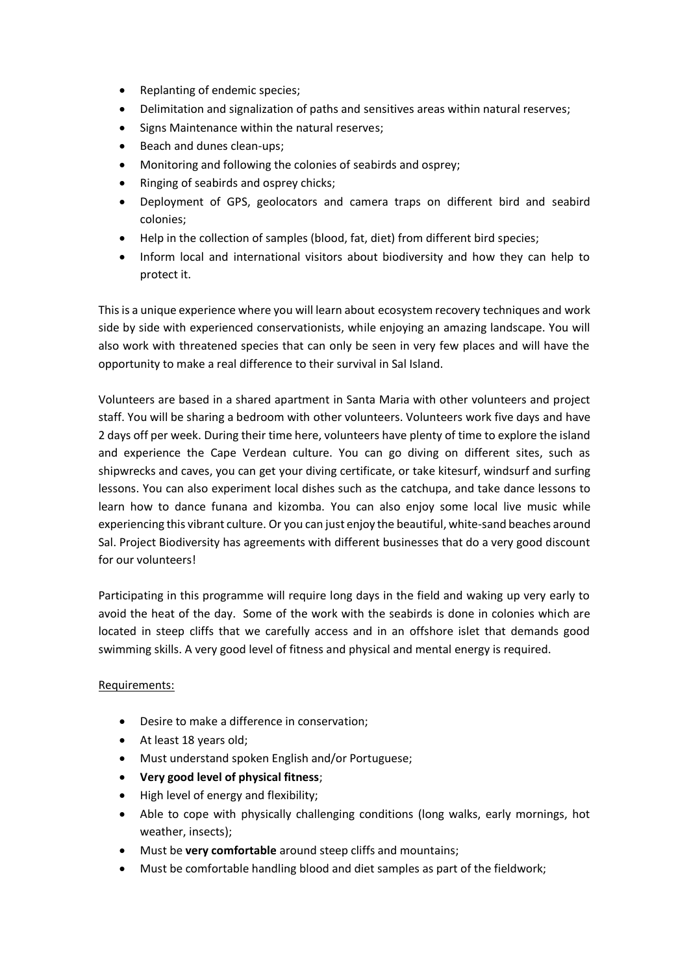- Replanting of endemic species;
- Delimitation and signalization of paths and sensitives areas within natural reserves;
- Signs Maintenance within the natural reserves;
- Beach and dunes clean-ups;
- Monitoring and following the colonies of seabirds and osprey;
- Ringing of seabirds and osprey chicks;
- Deployment of GPS, geolocators and camera traps on different bird and seabird colonies;
- Help in the collection of samples (blood, fat, diet) from different bird species;
- Inform local and international visitors about biodiversity and how they can help to protect it.

This is a unique experience where you will learn about ecosystem recovery techniques and work side by side with experienced conservationists, while enjoying an amazing landscape. You will also work with threatened species that can only be seen in very few places and will have the opportunity to make a real difference to their survival in Sal Island.

Volunteers are based in a shared apartment in Santa Maria with other volunteers and project staff. You will be sharing a bedroom with other volunteers. Volunteers work five days and have 2 days off per week. During their time here, volunteers have plenty of time to explore the island and experience the Cape Verdean culture. You can go diving on different sites, such as shipwrecks and caves, you can get your diving certificate, or take kitesurf, windsurf and surfing lessons. You can also experiment local dishes such as the catchupa, and take dance lessons to learn how to dance funana and kizomba. You can also enjoy some local live music while experiencing this vibrant culture. Or you can just enjoy the beautiful, white-sand beaches around Sal. Project Biodiversity has agreements with different businesses that do a very good discount for our volunteers!

Participating in this programme will require long days in the field and waking up very early to avoid the heat of the day. Some of the work with the seabirds is done in colonies which are located in steep cliffs that we carefully access and in an offshore islet that demands good swimming skills. A very good level of fitness and physical and mental energy is required.

#### Requirements:

- Desire to make a difference in conservation;
- At least 18 years old;
- Must understand spoken English and/or Portuguese;
- **Very good level of physical fitness**;
- High level of energy and flexibility;
- Able to cope with physically challenging conditions (long walks, early mornings, hot weather, insects);
- Must be **very comfortable** around steep cliffs and mountains;
- Must be comfortable handling blood and diet samples as part of the fieldwork;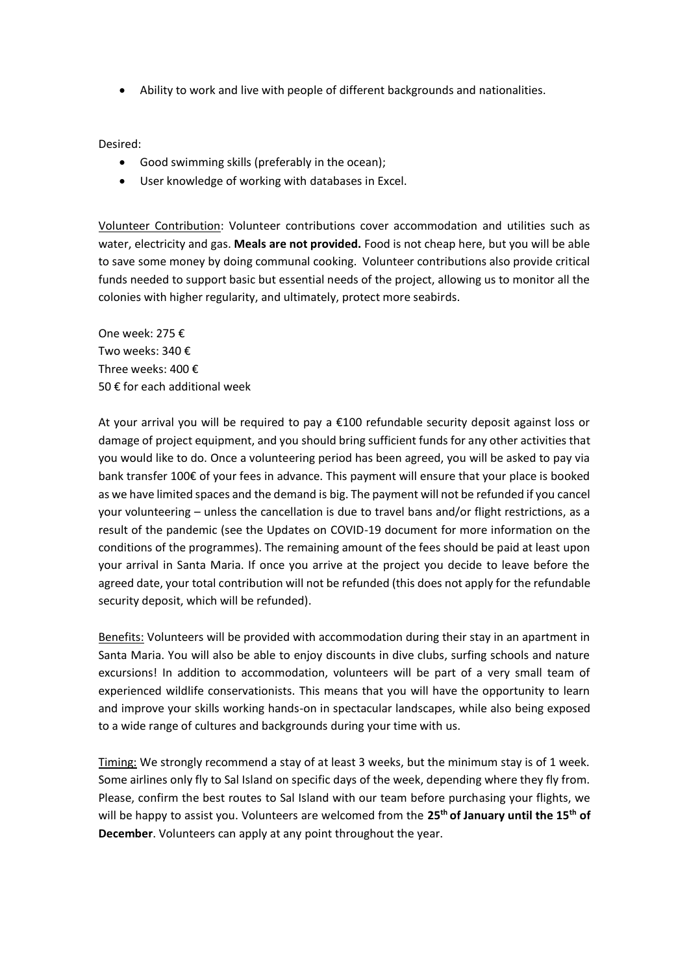Ability to work and live with people of different backgrounds and nationalities.

Desired:

- Good swimming skills (preferably in the ocean);
- User knowledge of working with databases in Excel.

Volunteer Contribution: Volunteer contributions cover accommodation and utilities such as water, electricity and gas. **Meals are not provided.** Food is not cheap here, but you will be able to save some money by doing communal cooking. Volunteer contributions also provide critical funds needed to support basic but essential needs of the project, allowing us to monitor all the colonies with higher regularity, and ultimately, protect more seabirds.

One week: 275 € Two weeks: 340 € Three weeks: 400 € 50 € for each additional week

At your arrival you will be required to pay a €100 refundable security deposit against loss or damage of project equipment, and you should bring sufficient funds for any other activities that you would like to do. Once a volunteering period has been agreed, you will be asked to pay via bank transfer 100€ of your fees in advance. This payment will ensure that your place is booked as we have limited spaces and the demand is big. The payment will not be refunded if you cancel your volunteering – unless the cancellation is due to travel bans and/or flight restrictions, as a result of the pandemic (see the Updates on COVID-19 document for more information on the conditions of the programmes). The remaining amount of the fees should be paid at least upon your arrival in Santa Maria. If once you arrive at the project you decide to leave before the agreed date, your total contribution will not be refunded (this does not apply for the refundable security deposit, which will be refunded).

Benefits: Volunteers will be provided with accommodation during their stay in an apartment in Santa Maria. You will also be able to enjoy discounts in dive clubs, surfing schools and nature excursions! In addition to accommodation, volunteers will be part of a very small team of experienced wildlife conservationists. This means that you will have the opportunity to learn and improve your skills working hands-on in spectacular landscapes, while also being exposed to a wide range of cultures and backgrounds during your time with us.

Timing: We strongly recommend a stay of at least 3 weeks, but the minimum stay is of 1 week. Some airlines only fly to Sal Island on specific days of the week, depending where they fly from. Please, confirm the best routes to Sal Island with our team before purchasing your flights, we will be happy to assist you. Volunteers are welcomed from the **25th of January until the 15th of December**. Volunteers can apply at any point throughout the year.